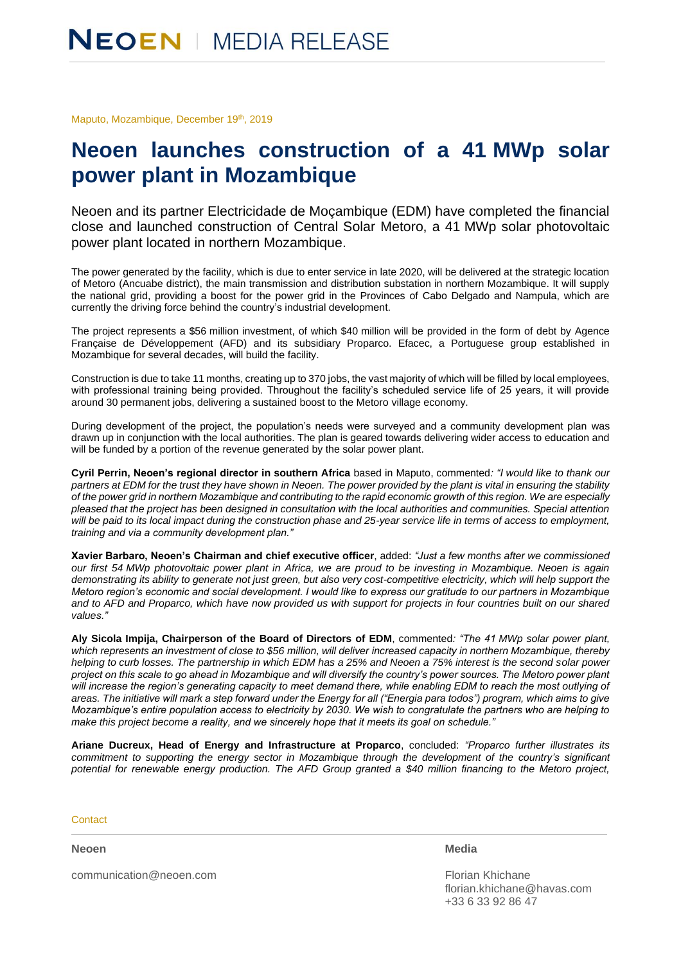Maputo, Mozambique, December 19th, 2019

## **Neoen launches construction of a 41 MWp solar power plant in Mozambique**

Neoen and its partner Electricidade de Moçambique (EDM) have completed the financial close and launched construction of Central Solar Metoro, a 41 MWp solar photovoltaic power plant located in northern Mozambique.

The power generated by the facility, which is due to enter service in late 2020, will be delivered at the strategic location of Metoro (Ancuabe district), the main transmission and distribution substation in northern Mozambique. It will supply the national grid, providing a boost for the power grid in the Provinces of Cabo Delgado and Nampula, which are currently the driving force behind the country's industrial development.

The project represents a \$56 million investment, of which \$40 million will be provided in the form of debt by Agence Française de Développement (AFD) and its subsidiary Proparco. Efacec, a Portuguese group established in Mozambique for several decades, will build the facility.

Construction is due to take 11 months, creating up to 370 jobs, the vast majority of which will be filled by local employees, with professional training being provided. Throughout the facility's scheduled service life of 25 years, it will provide around 30 permanent jobs, delivering a sustained boost to the Metoro village economy.

During development of the project, the population's needs were surveyed and a community development plan was drawn up in conjunction with the local authorities. The plan is geared towards delivering wider access to education and will be funded by a portion of the revenue generated by the solar power plant.

**Cyril Perrin, Neoen's regional director in southern Africa** based in Maputo, commented*: "I would like to thank our partners at EDM for the trust they have shown in Neoen. The power provided by the plant is vital in ensuring the stability of the power grid in northern Mozambique and contributing to the rapid economic growth of this region. We are especially pleased that the project has been designed in consultation with the local authorities and communities. Special attention*  will be paid to its local impact during the construction phase and 25-year service life in terms of access to employment, *training and via a community development plan."*

**Xavier Barbaro, Neoen's Chairman and chief executive officer**, added: *"Just a few months after we commissioned our first 54 MWp photovoltaic power plant in Africa, we are proud to be investing in Mozambique. Neoen is again demonstrating its ability to generate not just green, but also very cost-competitive electricity, which will help support the Metoro region's economic and social development. I would like to express our gratitude to our partners in Mozambique and to AFD and Proparco, which have now provided us with support for projects in four countries built on our shared values."*

**Aly Sicola Impija, Chairperson of the Board of Directors of EDM**, commented*: "The 41 MWp solar power plant, which represents an investment of close to \$56 million, will deliver increased capacity in northern Mozambique, thereby helping to curb losses. The partnership in which EDM has a 25% and Neoen a 75% interest is the second solar power project on this scale to go ahead in Mozambique and will diversify the country's power sources. The Metoro power plant*  will increase the region's generating capacity to meet demand there, while enabling EDM to reach the most outlying of *areas. The initiative will mark a step forward under the Energy for all ("Energia para todos") program, which aims to give Mozambique's entire population access to electricity by 2030. We wish to congratulate the partners who are helping to make this project become a reality, and we sincerely hope that it meets its goal on schedule."*

**Ariane Ducreux, Head of Energy and Infrastructure at Proparco**, concluded: *"Proparco further illustrates its commitment to supporting the energy sector in Mozambique through the development of the country's significant potential for renewable energy production. The AFD Group granted a \$40 million financing to the Metoro project,* 

**Contact** 

**Neoen**

**Media**

communication@neoen.com

Florian Khichane [florian.khichane@havas.com](mailto:florian.khichane@havas.com) +33 6 33 92 86 47